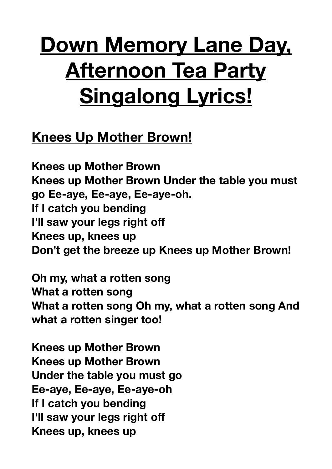# **Down Memory Lane Day, Afternoon Tea Party Singalong Lyrics!**

# **Knees Up Mother Brown!**

**Knees up Mother Brown Knees up Mother Brown Under the table you must go Ee-aye, Ee-aye, Ee-aye-oh. If I catch you bending I'll saw your legs right of Knees up, knees up Don't get the breeze up Knees up Mother Brown!**

**Oh my, what a rotten song What a rotten song What a rotten song Oh my, what a rotten song And what a rotten singer too!**

**Knees up Mother Brown Knees up Mother Brown Under the table you must go Ee-aye, Ee-aye, Ee-aye-oh If I catch you bending I'll saw your legs right of Knees up, knees up**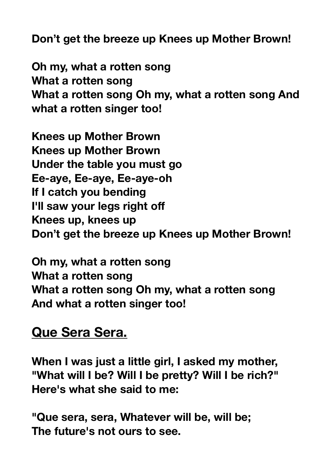**Don't get the breeze up Knees up Mother Brown!**

**Oh my, what a rotten song What a rotten song What a rotten song Oh my, what a rotten song And what a rotten singer too!**

**Knees up Mother Brown Knees up Mother Brown Under the table you must go Ee-aye, Ee-aye, Ee-aye-oh If I catch you bending I'll saw your legs right of Knees up, knees up Don't get the breeze up Knees up Mother Brown!**

**Oh my, what a rotten song What a rotten song What a rotten song Oh my, what a rotten song And what a rotten singer too!**

### **Que Sera Sera.**

**When I was just a little girl, I asked my mother, "What will I be? Will I be pretty? Will I be rich?" Here's what she said to me:**

**"Que sera, sera, Whatever will be, will be; The future's not ours to see.**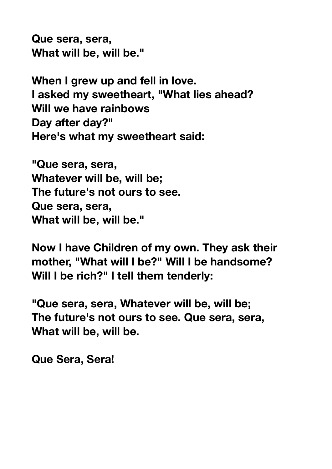**Que sera, sera, What will be, will be."**

**When I grew up and fell in love. I asked my sweetheart, "What lies ahead? Will we have rainbows Day after day?" Here's what my sweetheart said:**

**"Que sera, sera, Whatever will be, will be; The future's not ours to see. Que sera, sera, What will be, will be."**

**Now I have Children of my own. They ask their mother, "What will I be?" Will I be handsome? Will I be rich?" I tell them tenderly:**

**"Que sera, sera, Whatever will be, will be; The future's not ours to see. Que sera, sera, What will be, will be.**

**Que Sera, Sera!**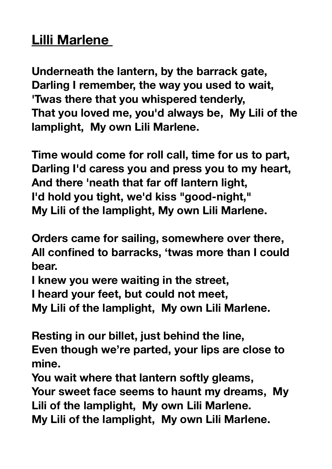# **Lilli Marlene**

**Underneath the lantern, by the barrack gate, Darling I remember, the way you used to wait, 'Twas there that you whispered tenderly, That you loved me, you'd always be, My Lili of the lamplight, My own Lili Marlene.**

**Time would come for roll call, time for us to part, Darling I'd caress you and press you to my heart, And there 'neath that far off lantern light, I'd hold you tight, we'd kiss "good-night," My Lili of the lamplight, My own Lili Marlene.**

**Orders came for sailing, somewhere over there, All confined to barracks, 'twas more than I could bear.**

**I knew you were waiting in the street,**

**I heard your feet, but could not meet,** 

**My Lili of the lamplight, My own Lili Marlene.**

**Resting in our billet, just behind the line, Even though we're parted, your lips are close to mine.**

**You wait where that lantern softly gleams,**

**Your sweet face seems to haunt my dreams, My Lili of the lamplight, My own Lili Marlene.**

**My Lili of the lamplight, My own Lili Marlene.**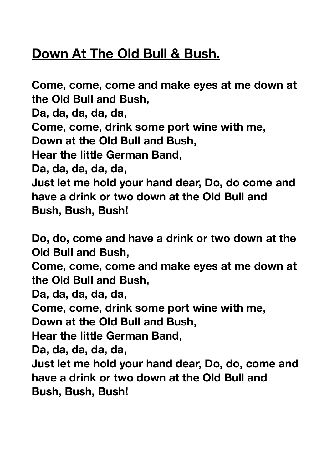# **Down At The Old Bull & Bush.**

**Come, come, come and make eyes at me down at the Old Bull and Bush, Da, da, da, da, da, Come, come, drink some port wine with me, Down at the Old Bull and Bush, Hear the little German Band, Da, da, da, da, da, Just let me hold your hand dear, Do, do come and have a drink or two down at the Old Bull and Bush, Bush, Bush! Do, do, come and have a drink or two down at the Old Bull and Bush, Come, come, come and make eyes at me down at the Old Bull and Bush, Da, da, da, da, da, Come, come, drink some port wine with me, Down at the Old Bull and Bush, Hear the little German Band, Da, da, da, da, da, Just let me hold your hand dear, Do, do, come and have a drink or two down at the Old Bull and Bush, Bush, Bush!**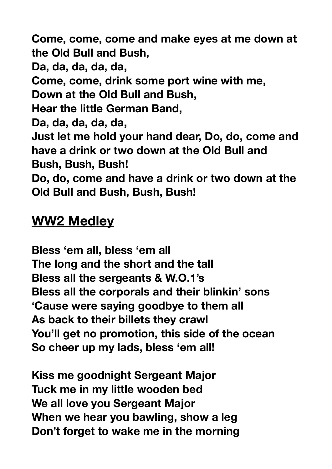**Come, come, come and make eyes at me down at the Old Bull and Bush, Da, da, da, da, da, Come, come, drink some port wine with me, Down at the Old Bull and Bush, Hear the little German Band, Da, da, da, da, da, Just let me hold your hand dear, Do, do, come and have a drink or two down at the Old Bull and Bush, Bush, Bush! Do, do, come and have a drink or two down at the Old Bull and Bush, Bush, Bush!**

#### **WW2 Medley**

**Bless 'em all, bless 'em all The long and the short and the tall Bless all the sergeants & W.O.1's Bless all the corporals and their blinkin' sons 'Cause were saying goodbye to them all As back to their billets they crawl You'll get no promotion, this side of the ocean So cheer up my lads, bless 'em all!**

**Kiss me goodnight Sergeant Major Tuck me in my little wooden bed We all love you Sergeant Major When we hear you bawling, show a leg Don't forget to wake me in the morning**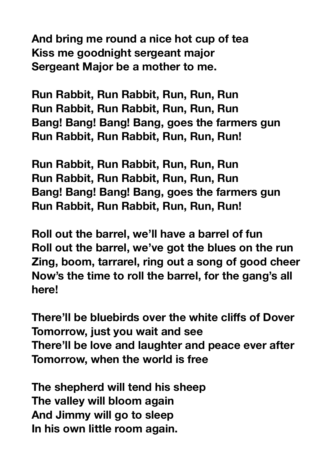**And bring me round a nice hot cup of tea Kiss me goodnight sergeant major Sergeant Major be a mother to me.**

**Run Rabbit, Run Rabbit, Run, Run, Run Run Rabbit, Run Rabbit, Run, Run, Run Bang! Bang! Bang! Bang, goes the farmers gun Run Rabbit, Run Rabbit, Run, Run, Run!**

**Run Rabbit, Run Rabbit, Run, Run, Run Run Rabbit, Run Rabbit, Run, Run, Run Bang! Bang! Bang! Bang, goes the farmers gun Run Rabbit, Run Rabbit, Run, Run, Run!**

**Roll out the barrel, we'll have a barrel of fun Roll out the barrel, we've got the blues on the run Zing, boom, tarrarel, ring out a song of good cheer Now's the time to roll the barrel, for the gang's all here!**

**There'll be bluebirds over the white cliffs of Dover Tomorrow, just you wait and see There'll be love and laughter and peace ever after Tomorrow, when the world is free**

**The shepherd will tend his sheep The valley will bloom again And Jimmy will go to sleep In his own little room again.**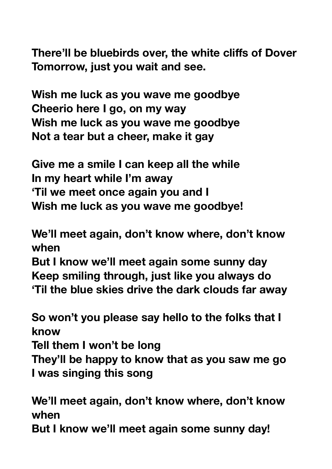**There'll be bluebirds over, the white cliffs of Dover Tomorrow, just you wait and see.**

**Wish me luck as you wave me goodbye Cheerio here I go, on my way Wish me luck as you wave me goodbye Not a tear but a cheer, make it gay**

**Give me a smile I can keep all the while In my heart while I'm away 'Til we meet once again you and I Wish me luck as you wave me goodbye!**

**We'll meet again, don't know where, don't know when**

**But I know we'll meet again some sunny day Keep smiling through, just like you always do 'Til the blue skies drive the dark clouds far away**

**So won't you please say hello to the folks that I know**

**Tell them I won't be long**

**They'll be happy to know that as you saw me go I was singing this song**

**We'll meet again, don't know where, don't know when**

**But I know we'll meet again some sunny day!**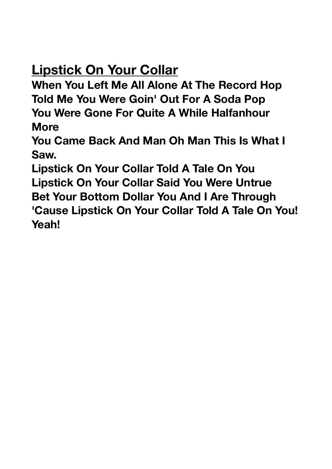# **Lipstick On Your Collar**

**When You Left Me All Alone At The Record Hop Told Me You Were Goin' Out For A Soda Pop You Were Gone For Quite A While Halfanhour More**

**You Came Back And Man Oh Man This Is What I Saw.**

**Lipstick On Your Collar Told A Tale On You Lipstick On Your Collar Said You Were Untrue Bet Your Bottom Dollar You And I Are Through 'Cause Lipstick On Your Collar Told A Tale On You! Yeah!**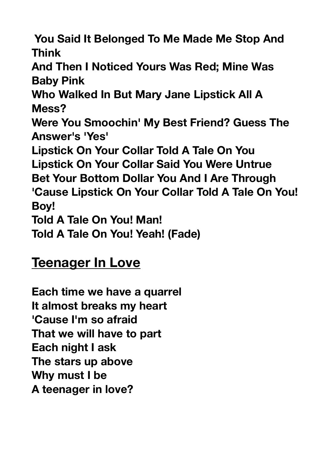**You Said It Belonged To Me Made Me Stop And Think**

**And Then I Noticed Yours Was Red; Mine Was Baby Pink**

**Who Walked In But Mary Jane Lipstick All A Mess?**

**Were You Smoochin' My Best Friend? Guess The Answer's 'Yes'**

**Lipstick On Your Collar Told A Tale On You**

**Lipstick On Your Collar Said You Were Untrue**

**Bet Your Bottom Dollar You And I Are Through**

**'Cause Lipstick On Your Collar Told A Tale On You! Boy!**

**Told A Tale On You! Man!**

**Told A Tale On You! Yeah! (Fade)**

#### **Teenager In Love**

**Each time we have a quarrel It almost breaks my heart 'Cause I'm so afraid That we will have to part Each night I ask The stars up above Why must I be A teenager in love?**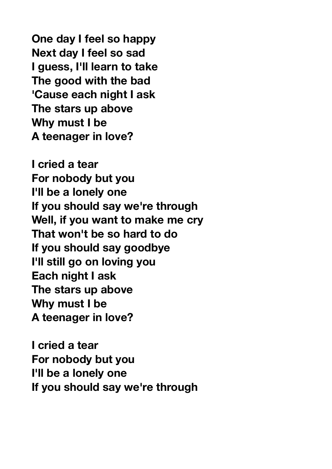**One day I feel so happy Next day I feel so sad I guess, I'll learn to take The good with the bad 'Cause each night I ask The stars up above Why must I be A teenager in love?**

**I cried a tear For nobody but you I'll be a lonely one If you should say we're through Well, if you want to make me cry That won't be so hard to do If you should say goodbye I'll still go on loving you Each night I ask The stars up above Why must I be A teenager in love?**

**I cried a tear For nobody but you I'll be a lonely one If you should say we're through**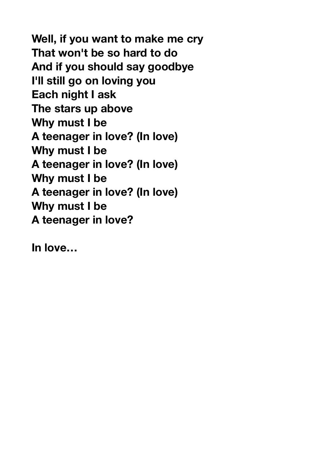**Well, if you want to make me cry That won't be so hard to do And if you should say goodbye I'll still go on loving you Each night I ask The stars up above Why must I be A teenager in love? (In love) Why must I be A teenager in love? (In love) Why must I be A teenager in love? (In love) Why must I be A teenager in love?**

**In love…**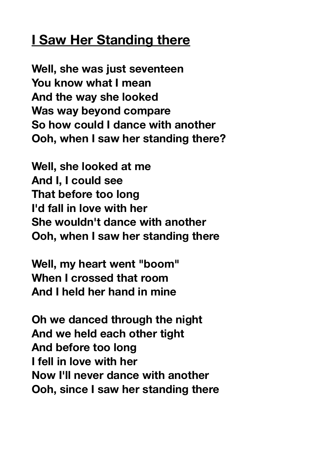# **I Saw Her Standing there**

**Well, she was just seventeen You know what I mean And the way she looked Was way beyond compare So how could I dance with another Ooh, when I saw her standing there?**

**Well, she looked at me And I, I could see That before too long I'd fall in love with her She wouldn't dance with another Ooh, when I saw her standing there**

**Well, my heart went "boom" When I crossed that room And I held her hand in mine**

**Oh we danced through the night And we held each other tight And before too long I fell in love with her Now I'll never dance with another Ooh, since I saw her standing there**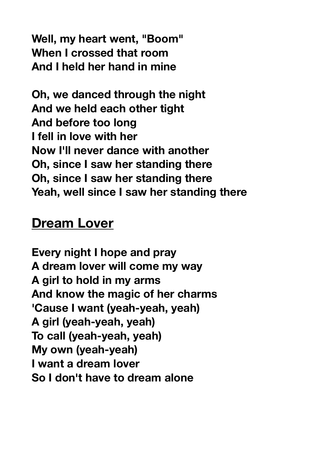**Well, my heart went, "Boom" When I crossed that room And I held her hand in mine**

**Oh, we danced through the night And we held each other tight And before too long I fell in love with her Now I'll never dance with another Oh, since I saw her standing there Oh, since I saw her standing there Yeah, well since I saw her standing there**

#### **Dream Lover**

**Every night I hope and pray A dream lover will come my way A girl to hold in my arms And know the magic of her charms 'Cause I want (yeah-yeah, yeah) A girl (yeah-yeah, yeah) To call (yeah-yeah, yeah) My own (yeah-yeah) I want a dream lover So I don't have to dream alone**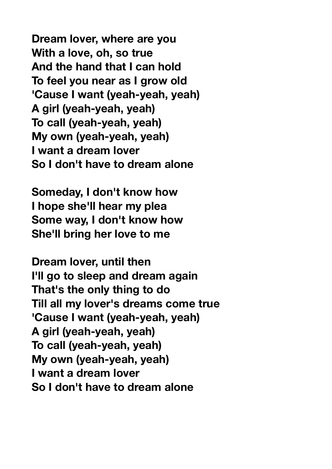**Dream lover, where are you With a love, oh, so true And the hand that I can hold To feel you near as I grow old 'Cause I want (yeah-yeah, yeah) A girl (yeah-yeah, yeah) To call (yeah-yeah, yeah) My own (yeah-yeah, yeah) I want a dream lover So I don't have to dream alone**

**Someday, I don't know how I hope she'll hear my plea Some way, I don't know how She'll bring her love to me**

**Dream lover, until then I'll go to sleep and dream again That's the only thing to do Till all my lover's dreams come true 'Cause I want (yeah-yeah, yeah) A girl (yeah-yeah, yeah) To call (yeah-yeah, yeah) My own (yeah-yeah, yeah) I want a dream lover So I don't have to dream alone**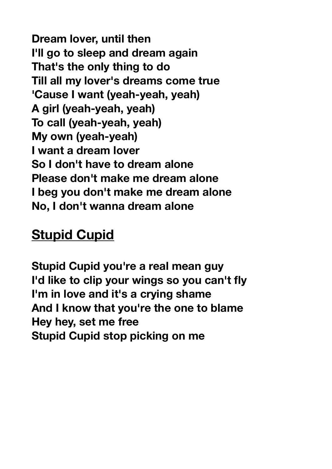**Dream lover, until then I'll go to sleep and dream again That's the only thing to do Till all my lover's dreams come true 'Cause I want (yeah-yeah, yeah) A girl (yeah-yeah, yeah) To call (yeah-yeah, yeah) My own (yeah-yeah) I want a dream lover So I don't have to dream alone Please don't make me dream alone I beg you don't make me dream alone No, I don't wanna dream alone**

# **Stupid Cupid**

**Stupid Cupid you're a real mean guy I'd like to clip your wings so you can't fly I'm in love and it's a crying shame And I know that you're the one to blame Hey hey, set me free Stupid Cupid stop picking on me**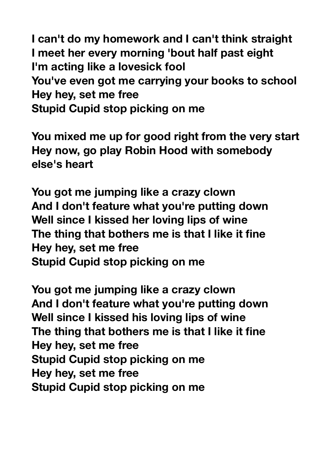**I can't do my homework and I can't think straight I meet her every morning 'bout half past eight I'm acting like a lovesick fool You've even got me carrying your books to school Hey hey, set me free Stupid Cupid stop picking on me**

**You mixed me up for good right from the very start Hey now, go play Robin Hood with somebody else's heart**

**You got me jumping like a crazy clown And I don't feature what you're putting down Well since I kissed her loving lips of wine The thing that bothers me is that I like it fine Hey hey, set me free Stupid Cupid stop picking on me**

**You got me jumping like a crazy clown And I don't feature what you're putting down Well since I kissed his loving lips of wine The thing that bothers me is that I like it fine Hey hey, set me free Stupid Cupid stop picking on me Hey hey, set me free Stupid Cupid stop picking on me**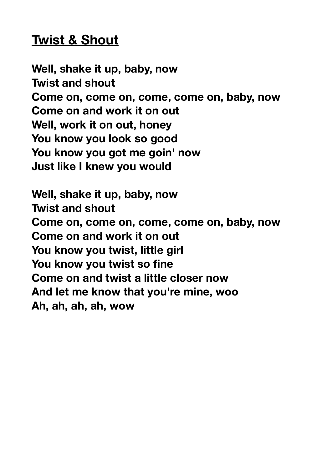#### **Twist & Shout**

**Well, shake it up, baby, now Twist and shout Come on, come on, come, come on, baby, now Come on and work it on out Well, work it on out, honey You know you look so good You know you got me goin' now Just like I knew you would**

**Well, shake it up, baby, now Twist and shout Come on, come on, come, come on, baby, now Come on and work it on out You know you twist, little girl You know you twist so fine Come on and twist a little closer now And let me know that you're mine, woo Ah, ah, ah, ah, wow**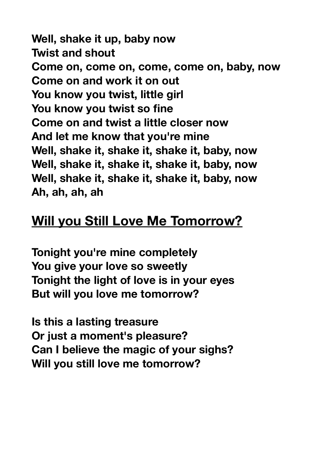**Well, shake it up, baby now Twist and shout Come on, come on, come, come on, baby, now Come on and work it on out You know you twist, little girl You know you twist so fine Come on and twist a little closer now And let me know that you're mine Well, shake it, shake it, shake it, baby, now Well, shake it, shake it, shake it, baby, now Well, shake it, shake it, shake it, baby, now Ah, ah, ah, ah** 

#### **Will you Still Love Me Tomorrow?**

**Tonight you're mine completely You give your love so sweetly Tonight the light of love is in your eyes But will you love me tomorrow?**

**Is this a lasting treasure Or just a moment's pleasure? Can I believe the magic of your sighs? Will you still love me tomorrow?**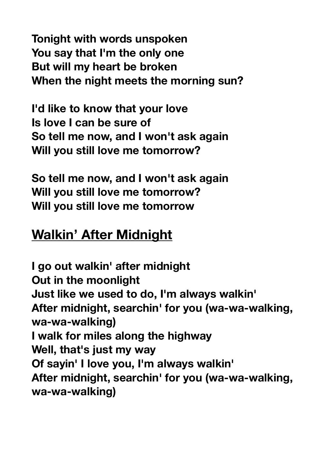**Tonight with words unspoken You say that I'm the only one But will my heart be broken When the night meets the morning sun?**

**I'd like to know that your love Is love I can be sure of So tell me now, and I won't ask again Will you still love me tomorrow?**

**So tell me now, and I won't ask again Will you still love me tomorrow? Will you still love me tomorrow**

# **Walkin' After Midnight**

**I go out walkin' after midnight Out in the moonlight Just like we used to do, I'm always walkin' After midnight, searchin' for you (wa-wa-walking, wa-wa-walking) I walk for miles along the highway Well, that's just my way Of sayin' I love you, I'm always walkin' After midnight, searchin' for you (wa-wa-walking, wa-wa-walking)**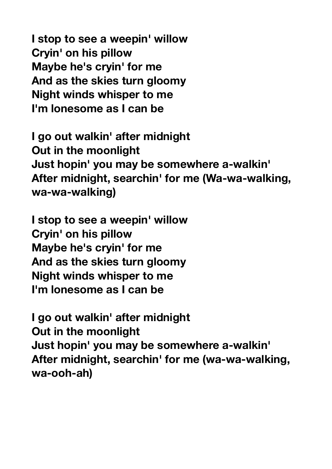**I stop to see a weepin' willow Cryin' on his pillow Maybe he's cryin' for me And as the skies turn gloomy Night winds whisper to me I'm lonesome as I can be**

**I go out walkin' after midnight Out in the moonlight Just hopin' you may be somewhere a-walkin' After midnight, searchin' for me (Wa-wa-walking, wa-wa-walking)**

**I stop to see a weepin' willow Cryin' on his pillow Maybe he's cryin' for me And as the skies turn gloomy Night winds whisper to me I'm lonesome as I can be**

**I go out walkin' after midnight Out in the moonlight Just hopin' you may be somewhere a-walkin' After midnight, searchin' for me (wa-wa-walking, wa-ooh-ah)**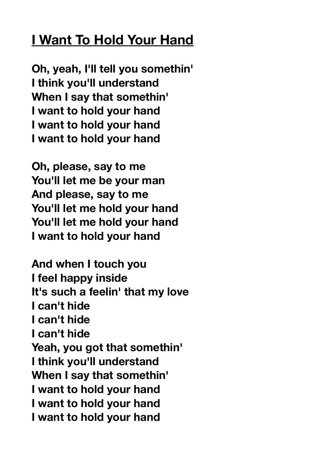## **I Want To Hold Your Hand**

**Oh, yeah, I'll tell you somethin' I think you'll understand When I say that somethin' I want to hold your hand I want to hold your hand I want to hold your hand**

**Oh, please, say to me You'll let me be your man And please, say to me You'll let me hold your hand You'll let me hold your hand I want to hold your hand**

**And when I touch you I feel happy inside It's such a feelin' that my love I can't hide I can't hide I can't hide Yeah, you got that somethin' I think you'll understand When I say that somethin' I want to hold your hand I want to hold your hand I want to hold your hand**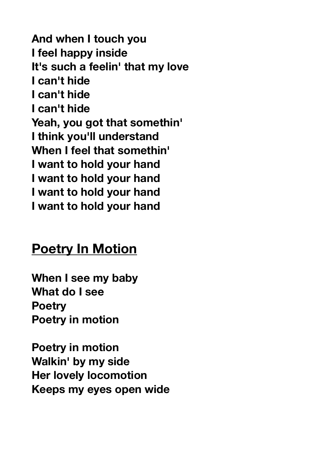**And when I touch you I feel happy inside It's such a feelin' that my love I can't hide I can't hide I can't hide Yeah, you got that somethin' I think you'll understand When I feel that somethin' I want to hold your hand I want to hold your hand I want to hold your hand I want to hold your hand**

#### **Poetry In Motion**

**When I see my baby What do I see Poetry Poetry in motion**

**Poetry in motion Walkin' by my side Her lovely locomotion Keeps my eyes open wide**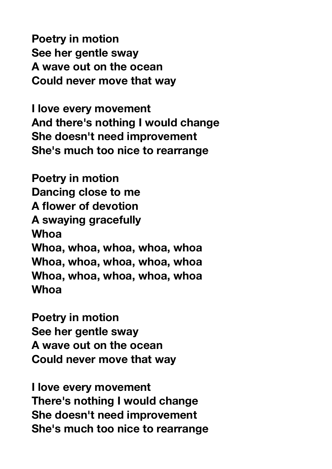**Poetry in motion See her gentle sway A wave out on the ocean Could never move that way**

**I love every movement And there's nothing I would change She doesn't need improvement She's much too nice to rearrange**

**Poetry in motion Dancing close to me A flower of devotion A swaying gracefully Whoa Whoa, whoa, whoa, whoa, whoa Whoa, whoa, whoa, whoa, whoa Whoa, whoa, whoa, whoa, whoa Whoa**

**Poetry in motion See her gentle sway A wave out on the ocean Could never move that way**

**I love every movement There's nothing I would change She doesn't need improvement She's much too nice to rearrange**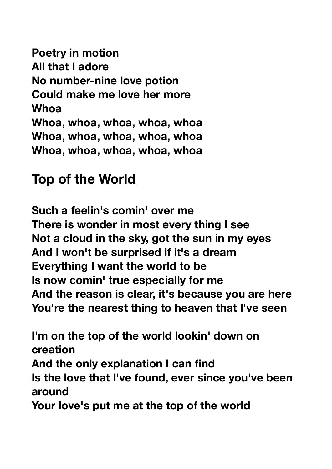**Poetry in motion All that I adore No number-nine love potion Could make me love her more Whoa Whoa, whoa, whoa, whoa, whoa Whoa, whoa, whoa, whoa, whoa Whoa, whoa, whoa, whoa, whoa**

## **Top of the World**

**Such a feelin's comin' over me There is wonder in most every thing I see Not a cloud in the sky, got the sun in my eyes And I won't be surprised if it's a dream Everything I want the world to be Is now comin' true especially for me And the reason is clear, it's because you are here You're the nearest thing to heaven that I've seen**

**I'm on the top of the world lookin' down on creation And the only explanation I can find Is the love that I've found, ever since you've been around Your love's put me at the top of the world**